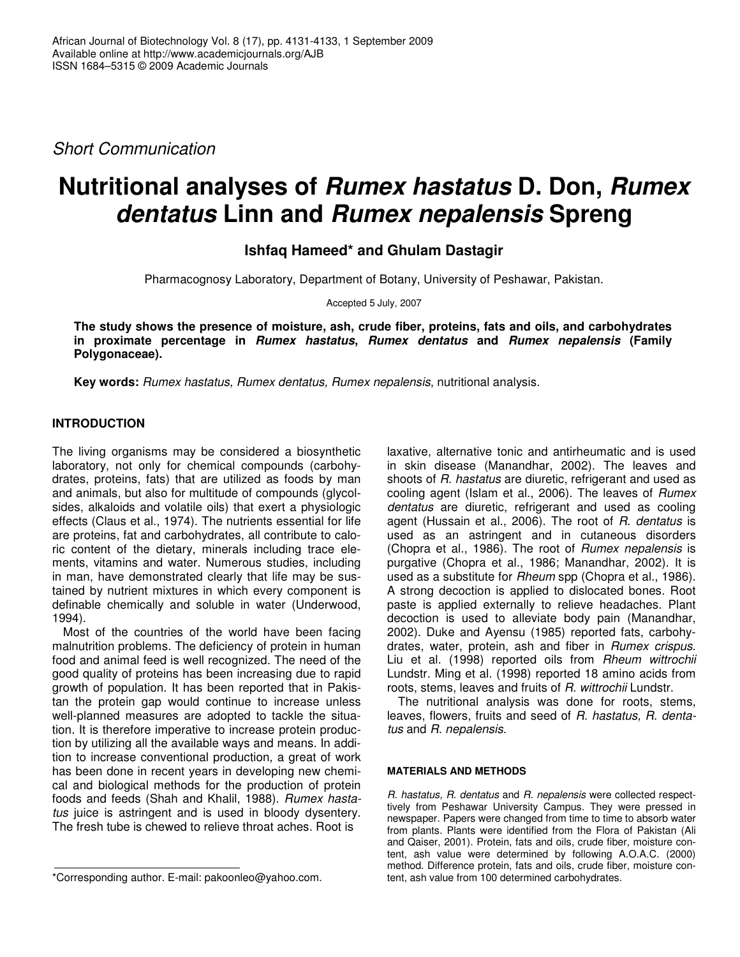*Short Communication*

# **Nutritional analyses of** *Rumex hastatus* **D. Don,** *Rumex dentatus* **Linn and** *Rumex nepalensis* **Spreng**

**Ishfaq Hameed\* and Ghulam Dastagir**

Pharmacognosy Laboratory, Department of Botany, University of Peshawar, Pakistan.

Accepted 5 July, 2007

**The study shows the presence of moisture, ash, crude fiber, proteins, fats and oils, and carbohydrates in proximate percentage in** *Rumex hastatus***,** *Rumex dentatus* **and** *Rumex nepalensis* **(Family Polygonaceae).**

**Key words:** *Rumex hastatus, Rumex dentatus, Rumex nepalensis*, nutritional analysis.

## **INTRODUCTION**

The living organisms may be considered a biosynthetic laboratory, not only for chemical compounds (carbohydrates, proteins, fats) that are utilized as foods by man and animals, but also for multitude of compounds (glycolsides, alkaloids and volatile oils) that exert a physiologic effects (Claus et al., 1974). The nutrients essential for life are proteins, fat and carbohydrates, all contribute to caloric content of the dietary, minerals including trace elements, vitamins and water. Numerous studies, including in man, have demonstrated clearly that life may be sustained by nutrient mixtures in which every component is definable chemically and soluble in water (Underwood, 1994).

Most of the countries of the world have been facing malnutrition problems. The deficiency of protein in human food and animal feed is well recognized. The need of the good quality of proteins has been increasing due to rapid growth of population. It has been reported that in Pakistan the protein gap would continue to increase unless well-planned measures are adopted to tackle the situation. It is therefore imperative to increase protein production by utilizing all the available ways and means. In addition to increase conventional production, a great of work has been done in recent years in developing new chemical and biological methods for the production of protein foods and feeds (Shah and Khalil, 1988). *Rumex hastatus* juice is astringent and is used in bloody dysentery. The fresh tube is chewed to relieve throat aches. Root is

laxative, alternative tonic and antirheumatic and is used in skin disease (Manandhar, 2002). The leaves and shoots of *R. hastatus* are diuretic, refrigerant and used as cooling agent (Islam et al., 2006). The leaves of *Rumex dentatus* are diuretic, refrigerant and used as cooling agent (Hussain et al., 2006). The root of *R. dentatus* is used as an astringent and in cutaneous disorders (Chopra et al., 1986). The root of *Rumex nepalensis* is purgative (Chopra et al., 1986; Manandhar, 2002). It is used as a substitute for *Rheum* spp (Chopra et al., 1986). A strong decoction is applied to dislocated bones. Root paste is applied externally to relieve headaches. Plant decoction is used to alleviate body pain (Manandhar, 2002). Duke and Ayensu (1985) reported fats, carbohydrates, water, protein, ash and fiber in *Rumex crispus*. Liu et al. (1998) reported oils from *Rheum wittrochii* Lundstr. Ming et al. (1998) reported 18 amino acids from roots, stems, leaves and fruits of *R. wittrochii* Lundstr.

The nutritional analysis was done for roots, stems, leaves, flowers, fruits and seed of *R. hastatus, R. dentatus* and *R. nepalensis*.

#### **MATERIALS AND METHODS**

*R. hastatus, R. dentatus* and *R. nepalensis* were collected respecttively from Peshawar University Campus. They were pressed in newspaper. Papers were changed from time to time to absorb water from plants. Plants were identified from the Flora of Pakistan (Ali and Qaiser, 2001). Protein, fats and oils, crude fiber, moisture content, ash value were determined by following A.O.A.C. (2000) method. Difference protein, fats and oils, crude fiber, moisture content, ash value from 100 determined carbohydrates.

<sup>\*</sup>Corresponding author. E-mail: pakoonleo@yahoo.com.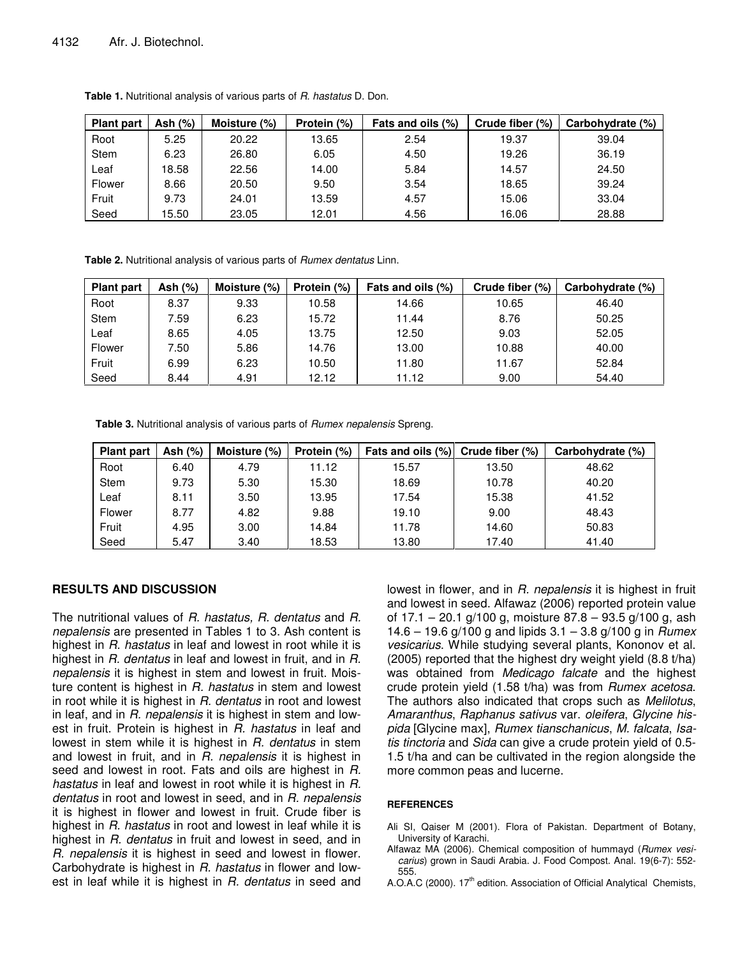| <b>Plant part</b> | Ash $(%)$ | Moisture (%) | Protein (%) | Fats and oils (%) | Crude fiber (%) | Carbohydrate (%) |
|-------------------|-----------|--------------|-------------|-------------------|-----------------|------------------|
| Root              | 5.25      | 20.22        | 13.65       | 2.54              | 19.37           | 39.04            |
| <b>Stem</b>       | 6.23      | 26.80        | 6.05        | 4.50              | 19.26           | 36.19            |
| Leaf              | 18.58     | 22.56        | 14.00       | 5.84              | 14.57           | 24.50            |
| Flower            | 8.66      | 20.50        | 9.50        | 3.54              | 18.65           | 39.24            |
| Fruit             | 9.73      | 24.01        | 13.59       | 4.57              | 15.06           | 33.04            |
| Seed              | 15.50     | 23.05        | 12.01       | 4.56              | 16.06           | 28.88            |

**Table 1.** Nutritional analysis of various parts of *R. hastatus* D. Don.

**Table 2.** Nutritional analysis of various parts of *Rumex dentatus* Linn.

| <b>Plant part</b> | Ash $(\%)$ | Moisture (%) | Protein (%) | Fats and oils (%) | Crude fiber (%) | Carbohydrate (%) |
|-------------------|------------|--------------|-------------|-------------------|-----------------|------------------|
| Root              | 8.37       | 9.33         | 10.58       | 14.66             | 10.65           | 46.40            |
| <b>Stem</b>       | 7.59       | 6.23         | 15.72       | 11.44             | 8.76            | 50.25            |
| ∟eaf              | 8.65       | 4.05         | 13.75       | 12.50             | 9.03            | 52.05            |
| Flower            | 7.50       | 5.86         | 14.76       | 13.00             | 10.88           | 40.00            |
| Fruit             | 6.99       | 6.23         | 10.50       | 11.80             | 11.67           | 52.84            |
| Seed              | 8.44       | 4.91         | 12.12       | 11.12             | 9.00            | 54.40            |

**Table 3.** Nutritional analysis of various parts of *Rumex nepalensis* Spreng.

| <b>Plant part</b> | Ash $(%)$ | Moisture (%) | Protein (%) | Fats and oils (%) | Crude fiber (%) | Carbohydrate (%) |
|-------------------|-----------|--------------|-------------|-------------------|-----------------|------------------|
| Root              | 6.40      | 4.79         | 11.12       | 15.57             | 13.50           | 48.62            |
| <b>Stem</b>       | 9.73      | 5.30         | 15.30       | 18.69             | 10.78           | 40.20            |
| Leaf              | 8.11      | 3.50         | 13.95       | 17.54             | 15.38           | 41.52            |
| Flower            | 8.77      | 4.82         | 9.88        | 19.10             | 9.00            | 48.43            |
| Fruit             | 4.95      | 3.00         | 14.84       | 11.78             | 14.60           | 50.83            |
| Seed              | 5.47      | 3.40         | 18.53       | 13.80             | 17.40           | 41.40            |

## **RESULTS AND DISCUSSION**

The nutritional values of *R. hastatus, R. dentatus* and *R. nepalensis* are presented in Tables 1 to 3. Ash content is highest in *R. hastatus* in leaf and lowest in root while it is highest in *R. dentatus* in leaf and lowest in fruit, and in *R. nepalensis* it is highest in stem and lowest in fruit. Moisture content is highest in *R. hastatus* in stem and lowest in root while it is highest in *R. dentatus* in root and lowest in leaf, and in *R. nepalensis* it is highest in stem and lowest in fruit. Protein is highest in *R. hastatus* in leaf and lowest in stem while it is highest in *R. dentatus* in stem and lowest in fruit, and in *R. nepalensis* it is highest in seed and lowest in root. Fats and oils are highest in *R. hastatus* in leaf and lowest in root while it is highest in *R. dentatus* in root and lowest in seed, and in *R. nepalensis* it is highest in flower and lowest in fruit. Crude fiber is highest in *R. hastatus* in root and lowest in leaf while it is highest in *R. dentatus* in fruit and lowest in seed, and in *R. nepalensis* it is highest in seed and lowest in flower. Carbohydrate is highest in *R. hastatus* in flower and lowest in leaf while it is highest in *R. dentatus* in seed and

lowest in flower, and in *R. nepalensis* it is highest in fruit and lowest in seed. Alfawaz (2006) reported protein value of 17.1 – 20.1 g/100 g, moisture 87.8 – 93.5 g/100 g, ash 14.6 – 19.6 g/100 g and lipids 3.1 – 3.8 g/100 g in *Rumex vesicarius*. While studying several plants, Kononov et al. (2005) reported that the highest dry weight yield (8.8 t/ha) was obtained from *Medicago falcate* and the highest crude protein yield (1.58 t/ha) was from *Rumex acetosa*. The authors also indicated that crops such as *Melilotus*, *Amaranthus*, *Raphanus sativus* var. *oleifera*, *Glycine hispida* [Glycine max], *Rumex tianschanicus*, *M. falcata*, *Isatis tinctoria* and *Sida* can give a crude protein yield of 0.5- 1.5 t/ha and can be cultivated in the region alongside the more common peas and lucerne.

### **REFERENCES**

- Ali SI, Qaiser M (2001). Flora of Pakistan. Department of Botany, University of Karachi.
- Alfawaz MA (2006). Chemical composition of hummayd (*Rumex vesicarius*) grown in Saudi Arabia. J. Food Compost. Anal. 19(6-7): 552- 555.
- A.O.A.C (2000). 17<sup>th</sup> edition. Association of Official Analytical Chemists,